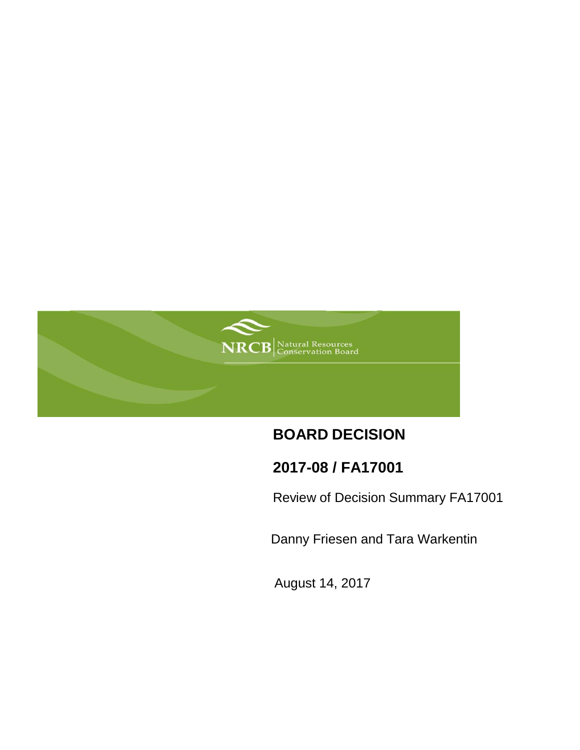

# **BOARD DECISION**

## **2017-08 / FA17001**

Review of Decision Summary FA17001

Danny Friesen and Tara Warkentin

August 14, 2017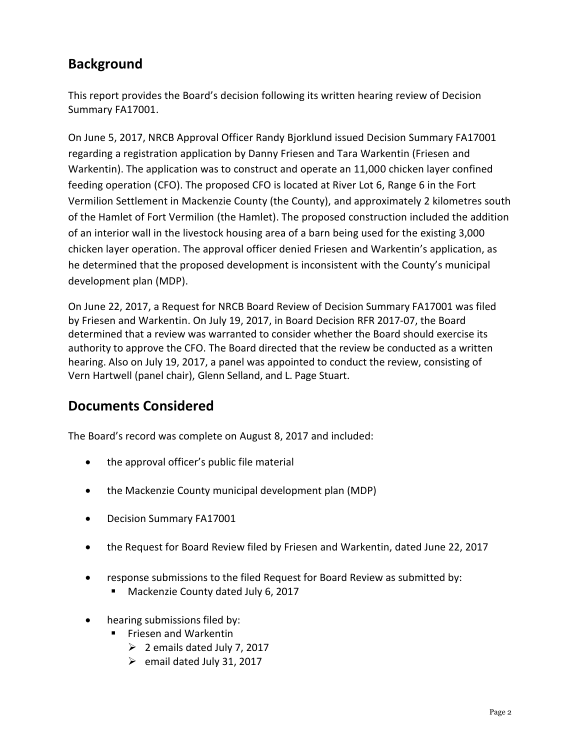## **Background**

This report provides the Board's decision following its written hearing review of Decision Summary FA17001.

On June 5, 2017, NRCB Approval Officer Randy Bjorklund issued Decision Summary FA17001 regarding a registration application by Danny Friesen and Tara Warkentin (Friesen and Warkentin). The application was to construct and operate an 11,000 chicken layer confined feeding operation (CFO). The proposed CFO is located at River Lot 6, Range 6 in the Fort Vermilion Settlement in Mackenzie County (the County), and approximately 2 kilometres south of the Hamlet of Fort Vermilion (the Hamlet). The proposed construction included the addition of an interior wall in the livestock housing area of a barn being used for the existing 3,000 chicken layer operation. The approval officer denied Friesen and Warkentin's application, as he determined that the proposed development is inconsistent with the County's municipal development plan (MDP).

On June 22, 2017, a Request for NRCB Board Review of Decision Summary FA17001 was filed by Friesen and Warkentin. On July 19, 2017, in Board Decision RFR 2017-07, the Board determined that a review was warranted to consider whether the Board should exercise its authority to approve the CFO. The Board directed that the review be conducted as a written hearing. Also on July 19, 2017, a panel was appointed to conduct the review, consisting of Vern Hartwell (panel chair), Glenn Selland, and L. Page Stuart.

## **Documents Considered**

The Board's record was complete on August 8, 2017 and included:

- the approval officer's public file material
- the Mackenzie County municipal development plan (MDP)
- Decision Summary FA17001
- the Request for Board Review filed by Friesen and Warkentin, dated June 22, 2017
- response submissions to the filed Request for Board Review as submitted by:
	- Mackenzie County dated July 6, 2017
- hearing submissions filed by:
	- **Filther** Friesen and Warkentin
		- $\geq$  2 emails dated July 7, 2017
		- $\triangleright$  email dated July 31, 2017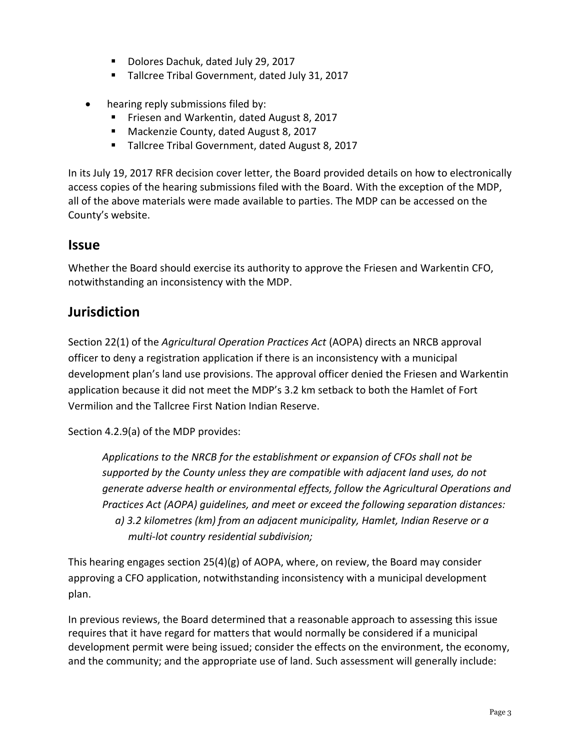- Dolores Dachuk, dated July 29, 2017
- Tallcree Tribal Government, dated July 31, 2017
- hearing reply submissions filed by:
	- **Friesen and Warkentin, dated August 8, 2017**
	- **Mackenzie County, dated August 8, 2017**
	- **Tallcree Tribal Government, dated August 8, 2017**

In its July 19, 2017 RFR decision cover letter, the Board provided details on how to electronically access copies of the hearing submissions filed with the Board. With the exception of the MDP, all of the above materials were made available to parties. The MDP can be accessed on the County's website.

### **Issue**

Whether the Board should exercise its authority to approve the Friesen and Warkentin CFO, notwithstanding an inconsistency with the MDP.

## **Jurisdiction**

Section 22(1) of the *Agricultural Operation Practices Act* (AOPA) directs an NRCB approval officer to deny a registration application if there is an inconsistency with a municipal development plan's land use provisions. The approval officer denied the Friesen and Warkentin application because it did not meet the MDP's 3.2 km setback to both the Hamlet of Fort Vermilion and the Tallcree First Nation Indian Reserve.

Section 4.2.9(a) of the MDP provides:

*Applications to the NRCB for the establishment or expansion of CFOs shall not be supported by the County unless they are compatible with adjacent land uses, do not generate adverse health or environmental effects, follow the Agricultural Operations and Practices Act (AOPA) guidelines, and meet or exceed the following separation distances: a) 3.2 kilometres (km) from an adjacent municipality, Hamlet, Indian Reserve or a multi-lot country residential subdivision;*

This hearing engages section  $25(4)(g)$  of AOPA, where, on review, the Board may consider approving a CFO application, notwithstanding inconsistency with a municipal development plan.

In previous reviews, the Board determined that a reasonable approach to assessing this issue requires that it have regard for matters that would normally be considered if a municipal development permit were being issued; consider the effects on the environment, the economy, and the community; and the appropriate use of land. Such assessment will generally include: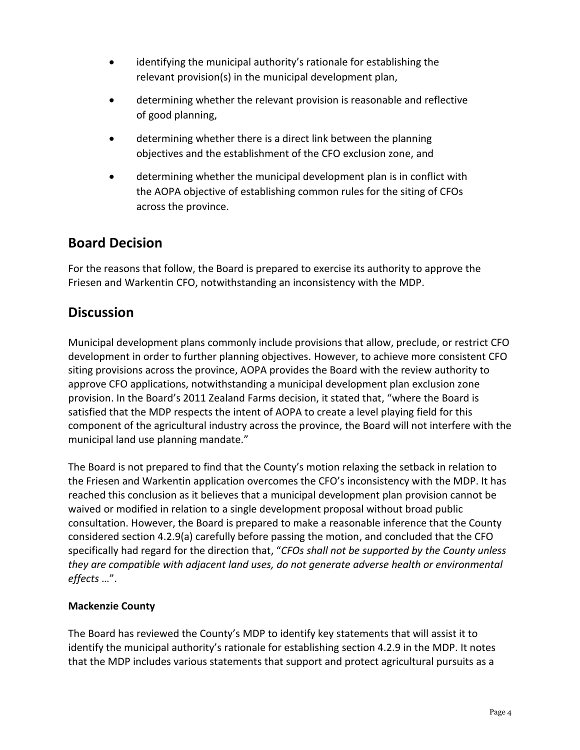- identifying the municipal authority's rationale for establishing the relevant provision(s) in the municipal development plan,
- determining whether the relevant provision is reasonable and reflective of good planning,
- determining whether there is a direct link between the planning objectives and the establishment of the CFO exclusion zone, and
- determining whether the municipal development plan is in conflict with the AOPA objective of establishing common rules for the siting of CFOs across the province.

## **Board Decision**

For the reasons that follow, the Board is prepared to exercise its authority to approve the Friesen and Warkentin CFO, notwithstanding an inconsistency with the MDP.

## **Discussion**

Municipal development plans commonly include provisions that allow, preclude, or restrict CFO development in order to further planning objectives. However, to achieve more consistent CFO siting provisions across the province, AOPA provides the Board with the review authority to approve CFO applications, notwithstanding a municipal development plan exclusion zone provision. In the Board's 2011 Zealand Farms decision, it stated that, "where the Board is satisfied that the MDP respects the intent of AOPA to create a level playing field for this component of the agricultural industry across the province, the Board will not interfere with the municipal land use planning mandate."

The Board is not prepared to find that the County's motion relaxing the setback in relation to the Friesen and Warkentin application overcomes the CFO's inconsistency with the MDP. It has reached this conclusion as it believes that a municipal development plan provision cannot be waived or modified in relation to a single development proposal without broad public consultation. However, the Board is prepared to make a reasonable inference that the County considered section 4.2.9(a) carefully before passing the motion, and concluded that the CFO specifically had regard for the direction that, "*CFOs shall not be supported by the County unless they are compatible with adjacent land uses, do not generate adverse health or environmental effects* …".

### **Mackenzie County**

The Board has reviewed the County's MDP to identify key statements that will assist it to identify the municipal authority's rationale for establishing section 4.2.9 in the MDP. It notes that the MDP includes various statements that support and protect agricultural pursuits as a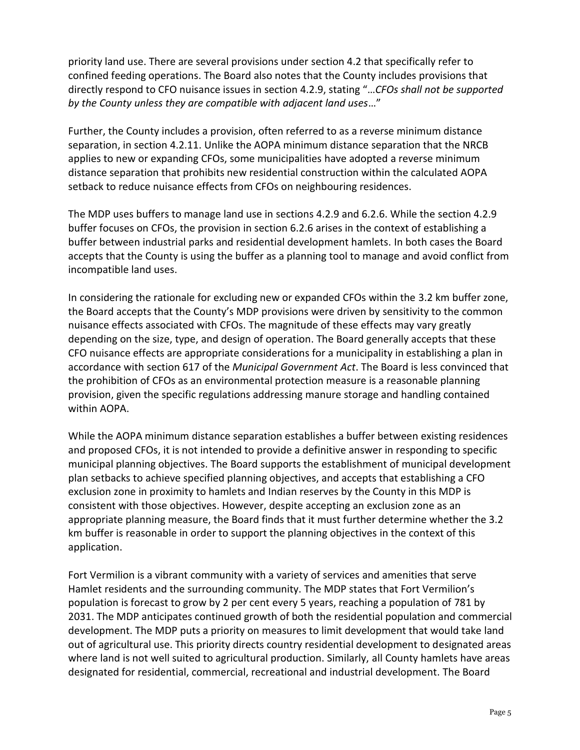priority land use. There are several provisions under section 4.2 that specifically refer to confined feeding operations. The Board also notes that the County includes provisions that directly respond to CFO nuisance issues in section 4.2.9, stating "…*CFOs shall not be supported by the County unless they are compatible with adjacent land uses*…"

Further, the County includes a provision, often referred to as a reverse minimum distance separation, in section 4.2.11. Unlike the AOPA minimum distance separation that the NRCB applies to new or expanding CFOs, some municipalities have adopted a reverse minimum distance separation that prohibits new residential construction within the calculated AOPA setback to reduce nuisance effects from CFOs on neighbouring residences.

The MDP uses buffers to manage land use in sections 4.2.9 and 6.2.6. While the section 4.2.9 buffer focuses on CFOs, the provision in section 6.2.6 arises in the context of establishing a buffer between industrial parks and residential development hamlets. In both cases the Board accepts that the County is using the buffer as a planning tool to manage and avoid conflict from incompatible land uses.

In considering the rationale for excluding new or expanded CFOs within the 3.2 km buffer zone, the Board accepts that the County's MDP provisions were driven by sensitivity to the common nuisance effects associated with CFOs. The magnitude of these effects may vary greatly depending on the size, type, and design of operation. The Board generally accepts that these CFO nuisance effects are appropriate considerations for a municipality in establishing a plan in accordance with section 617 of the *Municipal Government Act*. The Board is less convinced that the prohibition of CFOs as an environmental protection measure is a reasonable planning provision, given the specific regulations addressing manure storage and handling contained within AOPA.

While the AOPA minimum distance separation establishes a buffer between existing residences and proposed CFOs, it is not intended to provide a definitive answer in responding to specific municipal planning objectives. The Board supports the establishment of municipal development plan setbacks to achieve specified planning objectives, and accepts that establishing a CFO exclusion zone in proximity to hamlets and Indian reserves by the County in this MDP is consistent with those objectives. However, despite accepting an exclusion zone as an appropriate planning measure, the Board finds that it must further determine whether the 3.2 km buffer is reasonable in order to support the planning objectives in the context of this application.

Fort Vermilion is a vibrant community with a variety of services and amenities that serve Hamlet residents and the surrounding community. The MDP states that Fort Vermilion's population is forecast to grow by 2 per cent every 5 years, reaching a population of 781 by 2031. The MDP anticipates continued growth of both the residential population and commercial development. The MDP puts a priority on measures to limit development that would take land out of agricultural use. This priority directs country residential development to designated areas where land is not well suited to agricultural production. Similarly, all County hamlets have areas designated for residential, commercial, recreational and industrial development. The Board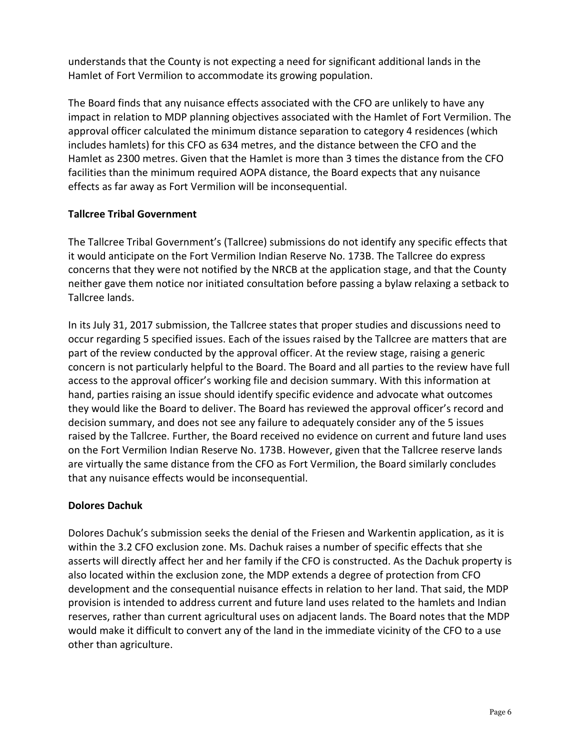understands that the County is not expecting a need for significant additional lands in the Hamlet of Fort Vermilion to accommodate its growing population.

The Board finds that any nuisance effects associated with the CFO are unlikely to have any impact in relation to MDP planning objectives associated with the Hamlet of Fort Vermilion. The approval officer calculated the minimum distance separation to category 4 residences (which includes hamlets) for this CFO as 634 metres, and the distance between the CFO and the Hamlet as 2300 metres. Given that the Hamlet is more than 3 times the distance from the CFO facilities than the minimum required AOPA distance, the Board expects that any nuisance effects as far away as Fort Vermilion will be inconsequential.

### **Tallcree Tribal Government**

The Tallcree Tribal Government's (Tallcree) submissions do not identify any specific effects that it would anticipate on the Fort Vermilion Indian Reserve No. 173B. The Tallcree do express concerns that they were not notified by the NRCB at the application stage, and that the County neither gave them notice nor initiated consultation before passing a bylaw relaxing a setback to Tallcree lands.

In its July 31, 2017 submission, the Tallcree states that proper studies and discussions need to occur regarding 5 specified issues. Each of the issues raised by the Tallcree are matters that are part of the review conducted by the approval officer. At the review stage, raising a generic concern is not particularly helpful to the Board. The Board and all parties to the review have full access to the approval officer's working file and decision summary. With this information at hand, parties raising an issue should identify specific evidence and advocate what outcomes they would like the Board to deliver. The Board has reviewed the approval officer's record and decision summary, and does not see any failure to adequately consider any of the 5 issues raised by the Tallcree. Further, the Board received no evidence on current and future land uses on the Fort Vermilion Indian Reserve No. 173B. However, given that the Tallcree reserve lands are virtually the same distance from the CFO as Fort Vermilion, the Board similarly concludes that any nuisance effects would be inconsequential.

### **Dolores Dachuk**

Dolores Dachuk's submission seeks the denial of the Friesen and Warkentin application, as it is within the 3.2 CFO exclusion zone. Ms. Dachuk raises a number of specific effects that she asserts will directly affect her and her family if the CFO is constructed. As the Dachuk property is also located within the exclusion zone, the MDP extends a degree of protection from CFO development and the consequential nuisance effects in relation to her land. That said, the MDP provision is intended to address current and future land uses related to the hamlets and Indian reserves, rather than current agricultural uses on adjacent lands. The Board notes that the MDP would make it difficult to convert any of the land in the immediate vicinity of the CFO to a use other than agriculture.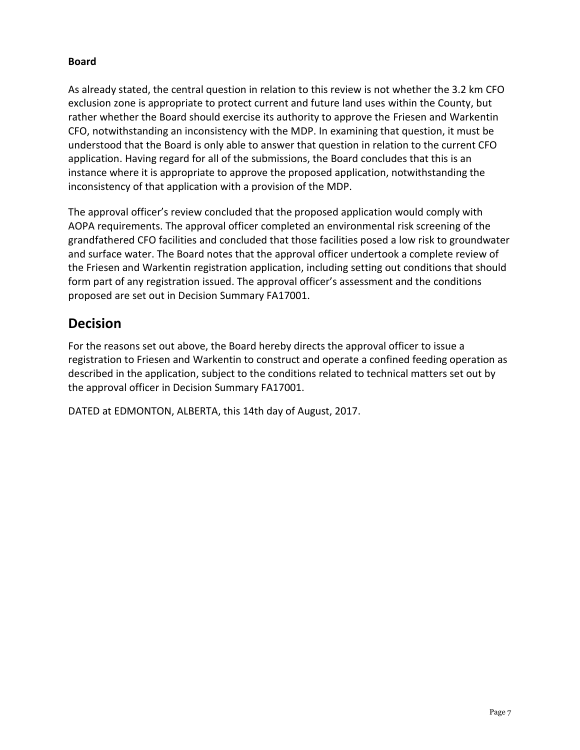### **Board**

As already stated, the central question in relation to this review is not whether the 3.2 km CFO exclusion zone is appropriate to protect current and future land uses within the County, but rather whether the Board should exercise its authority to approve the Friesen and Warkentin CFO, notwithstanding an inconsistency with the MDP. In examining that question, it must be understood that the Board is only able to answer that question in relation to the current CFO application. Having regard for all of the submissions, the Board concludes that this is an instance where it is appropriate to approve the proposed application, notwithstanding the inconsistency of that application with a provision of the MDP.

The approval officer's review concluded that the proposed application would comply with AOPA requirements. The approval officer completed an environmental risk screening of the grandfathered CFO facilities and concluded that those facilities posed a low risk to groundwater and surface water. The Board notes that the approval officer undertook a complete review of the Friesen and Warkentin registration application, including setting out conditions that should form part of any registration issued. The approval officer's assessment and the conditions proposed are set out in Decision Summary FA17001.

## **Decision**

For the reasons set out above, the Board hereby directs the approval officer to issue a registration to Friesen and Warkentin to construct and operate a confined feeding operation as described in the application, subject to the conditions related to technical matters set out by the approval officer in Decision Summary FA17001.

DATED at EDMONTON, ALBERTA, this 14th day of August, 2017.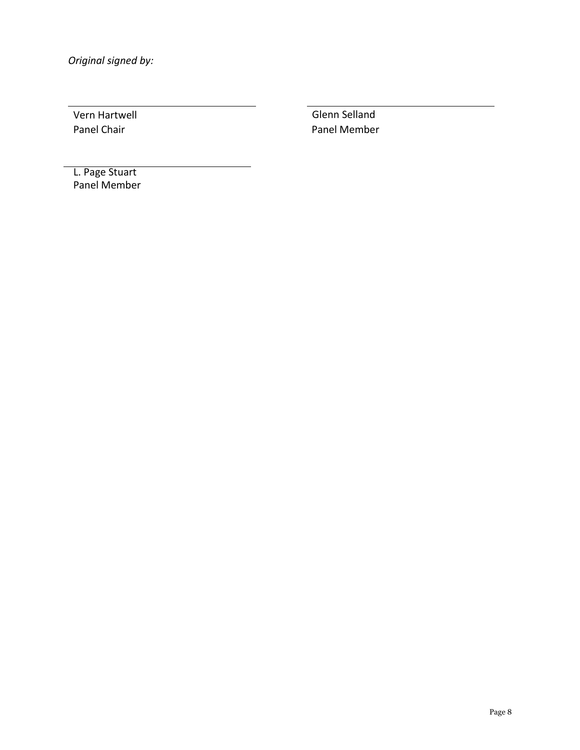*Original signed by:*

Vern Hartwell Glenn Selland Panel Chair **Panel Member** 

 L. Page Stuart Panel Member